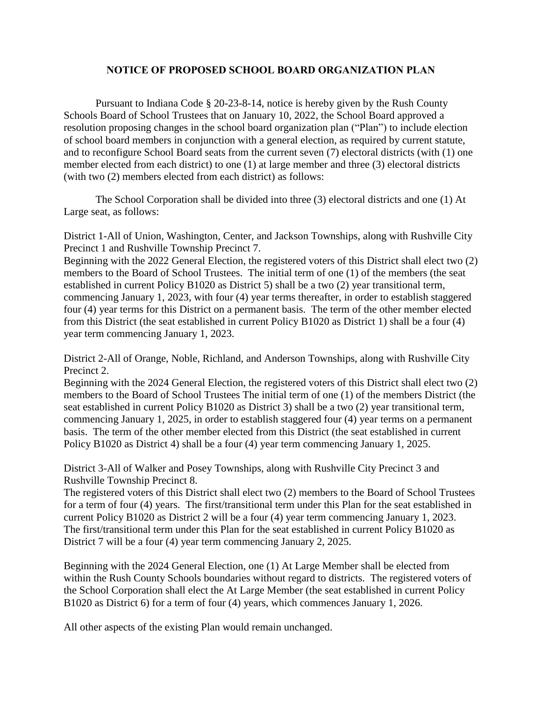## **NOTICE OF PROPOSED SCHOOL BOARD ORGANIZATION PLAN**

Pursuant to Indiana Code § 20-23-8-14, notice is hereby given by the Rush County Schools Board of School Trustees that on January 10, 2022, the School Board approved a resolution proposing changes in the school board organization plan ("Plan") to include election of school board members in conjunction with a general election, as required by current statute, and to reconfigure School Board seats from the current seven (7) electoral districts (with (1) one member elected from each district) to one (1) at large member and three (3) electoral districts (with two (2) members elected from each district) as follows:

The School Corporation shall be divided into three (3) electoral districts and one (1) At Large seat, as follows:

District 1-All of Union, Washington, Center, and Jackson Townships, along with Rushville City Precinct 1 and Rushville Township Precinct 7.

Beginning with the 2022 General Election, the registered voters of this District shall elect two (2) members to the Board of School Trustees. The initial term of one (1) of the members (the seat established in current Policy B1020 as District 5) shall be a two (2) year transitional term, commencing January 1, 2023, with four (4) year terms thereafter, in order to establish staggered four (4) year terms for this District on a permanent basis. The term of the other member elected from this District (the seat established in current Policy B1020 as District 1) shall be a four (4) year term commencing January 1, 2023.

District 2-All of Orange, Noble, Richland, and Anderson Townships, along with Rushville City Precinct 2.

Beginning with the 2024 General Election, the registered voters of this District shall elect two (2) members to the Board of School Trustees The initial term of one (1) of the members District (the seat established in current Policy B1020 as District 3) shall be a two (2) year transitional term, commencing January 1, 2025, in order to establish staggered four (4) year terms on a permanent basis. The term of the other member elected from this District (the seat established in current Policy B1020 as District 4) shall be a four (4) year term commencing January 1, 2025.

District 3-All of Walker and Posey Townships, along with Rushville City Precinct 3 and Rushville Township Precinct 8.

The registered voters of this District shall elect two (2) members to the Board of School Trustees for a term of four (4) years. The first/transitional term under this Plan for the seat established in current Policy B1020 as District 2 will be a four (4) year term commencing January 1, 2023. The first/transitional term under this Plan for the seat established in current Policy B1020 as District 7 will be a four (4) year term commencing January 2, 2025.

Beginning with the 2024 General Election, one (1) At Large Member shall be elected from within the Rush County Schools boundaries without regard to districts. The registered voters of the School Corporation shall elect the At Large Member (the seat established in current Policy B1020 as District 6) for a term of four (4) years, which commences January 1, 2026.

All other aspects of the existing Plan would remain unchanged.